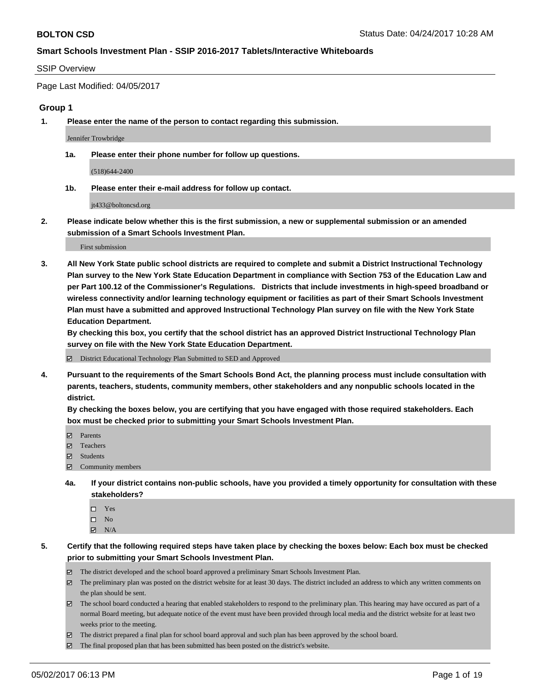#### SSIP Overview

Page Last Modified: 04/05/2017

### **Group 1**

**1. Please enter the name of the person to contact regarding this submission.**

Jennifer Trowbridge

**1a. Please enter their phone number for follow up questions.**

(518)644-2400

**1b. Please enter their e-mail address for follow up contact.**

jt433@boltoncsd.org

**2. Please indicate below whether this is the first submission, a new or supplemental submission or an amended submission of a Smart Schools Investment Plan.**

First submission

**3. All New York State public school districts are required to complete and submit a District Instructional Technology Plan survey to the New York State Education Department in compliance with Section 753 of the Education Law and per Part 100.12 of the Commissioner's Regulations. Districts that include investments in high-speed broadband or wireless connectivity and/or learning technology equipment or facilities as part of their Smart Schools Investment Plan must have a submitted and approved Instructional Technology Plan survey on file with the New York State Education Department.** 

**By checking this box, you certify that the school district has an approved District Instructional Technology Plan survey on file with the New York State Education Department.**

District Educational Technology Plan Submitted to SED and Approved

**4. Pursuant to the requirements of the Smart Schools Bond Act, the planning process must include consultation with parents, teachers, students, community members, other stakeholders and any nonpublic schools located in the district.** 

**By checking the boxes below, you are certifying that you have engaged with those required stakeholders. Each box must be checked prior to submitting your Smart Schools Investment Plan.**

- **マ** Parents
- **□** Teachers
- Students
- $\Xi$  Community members
- **4a. If your district contains non-public schools, have you provided a timely opportunity for consultation with these stakeholders?**
	- Yes
	- $\hfill \square$  No
	- $\boxtimes$  N/A
- **5. Certify that the following required steps have taken place by checking the boxes below: Each box must be checked prior to submitting your Smart Schools Investment Plan.**
	- The district developed and the school board approved a preliminary Smart Schools Investment Plan.
	- $\boxtimes$  The preliminary plan was posted on the district website for at least 30 days. The district included an address to which any written comments on the plan should be sent.
	- $\boxtimes$  The school board conducted a hearing that enabled stakeholders to respond to the preliminary plan. This hearing may have occured as part of a normal Board meeting, but adequate notice of the event must have been provided through local media and the district website for at least two weeks prior to the meeting.
	- The district prepared a final plan for school board approval and such plan has been approved by the school board.
	- The final proposed plan that has been submitted has been posted on the district's website.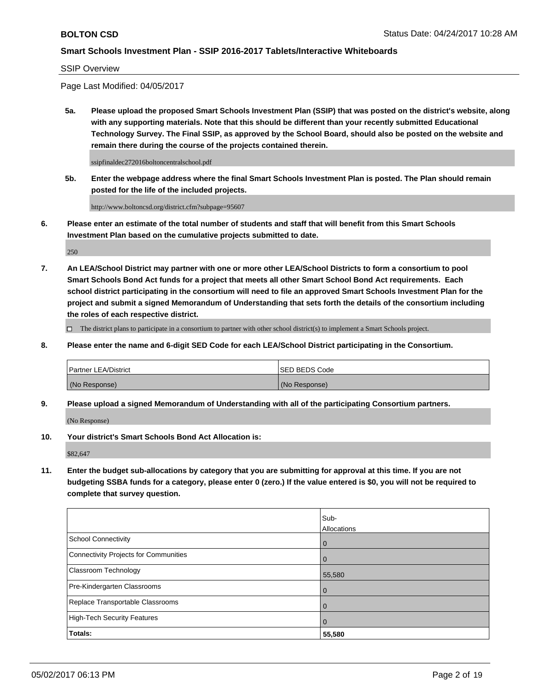SSIP Overview

Page Last Modified: 04/05/2017

**5a. Please upload the proposed Smart Schools Investment Plan (SSIP) that was posted on the district's website, along with any supporting materials. Note that this should be different than your recently submitted Educational Technology Survey. The Final SSIP, as approved by the School Board, should also be posted on the website and remain there during the course of the projects contained therein.**

ssipfinaldec272016boltoncentralschool.pdf

**5b. Enter the webpage address where the final Smart Schools Investment Plan is posted. The Plan should remain posted for the life of the included projects.**

http://www.boltoncsd.org/district.cfm?subpage=95607

**6. Please enter an estimate of the total number of students and staff that will benefit from this Smart Schools Investment Plan based on the cumulative projects submitted to date.**

250

**7. An LEA/School District may partner with one or more other LEA/School Districts to form a consortium to pool Smart Schools Bond Act funds for a project that meets all other Smart School Bond Act requirements. Each school district participating in the consortium will need to file an approved Smart Schools Investment Plan for the project and submit a signed Memorandum of Understanding that sets forth the details of the consortium including the roles of each respective district.**

 $\Box$  The district plans to participate in a consortium to partner with other school district(s) to implement a Smart Schools project.

**8. Please enter the name and 6-digit SED Code for each LEA/School District participating in the Consortium.**

| <b>Partner LEA/District</b> | <b>ISED BEDS Code</b> |
|-----------------------------|-----------------------|
| (No Response)               | (No Response)         |

**9. Please upload a signed Memorandum of Understanding with all of the participating Consortium partners.**

(No Response)

**10. Your district's Smart Schools Bond Act Allocation is:**

\$82,647

**11. Enter the budget sub-allocations by category that you are submitting for approval at this time. If you are not budgeting SSBA funds for a category, please enter 0 (zero.) If the value entered is \$0, you will not be required to complete that survey question.**

|                                       | Sub-        |
|---------------------------------------|-------------|
|                                       | Allocations |
| <b>School Connectivity</b>            | 0           |
| Connectivity Projects for Communities | 0           |
| Classroom Technology                  | 55,580      |
| Pre-Kindergarten Classrooms           | 0           |
| Replace Transportable Classrooms      | 0           |
| <b>High-Tech Security Features</b>    | 0           |
| Totals:                               | 55,580      |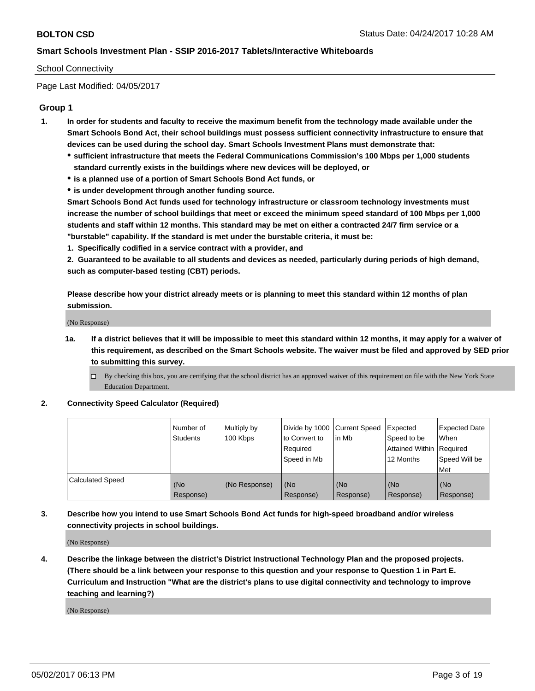### School Connectivity

Page Last Modified: 04/05/2017

## **Group 1**

- **1. In order for students and faculty to receive the maximum benefit from the technology made available under the Smart Schools Bond Act, their school buildings must possess sufficient connectivity infrastructure to ensure that devices can be used during the school day. Smart Schools Investment Plans must demonstrate that:**
	- **sufficient infrastructure that meets the Federal Communications Commission's 100 Mbps per 1,000 students standard currently exists in the buildings where new devices will be deployed, or**
	- **is a planned use of a portion of Smart Schools Bond Act funds, or**
	- **is under development through another funding source.**

**Smart Schools Bond Act funds used for technology infrastructure or classroom technology investments must increase the number of school buildings that meet or exceed the minimum speed standard of 100 Mbps per 1,000 students and staff within 12 months. This standard may be met on either a contracted 24/7 firm service or a "burstable" capability. If the standard is met under the burstable criteria, it must be:**

**1. Specifically codified in a service contract with a provider, and**

**2. Guaranteed to be available to all students and devices as needed, particularly during periods of high demand, such as computer-based testing (CBT) periods.**

**Please describe how your district already meets or is planning to meet this standard within 12 months of plan submission.**

(No Response)

- **1a. If a district believes that it will be impossible to meet this standard within 12 months, it may apply for a waiver of this requirement, as described on the Smart Schools website. The waiver must be filed and approved by SED prior to submitting this survey.**
	- By checking this box, you are certifying that the school district has an approved waiver of this requirement on file with the New York State Education Department.

#### **2. Connectivity Speed Calculator (Required)**

|                         | Number of<br><b>Students</b> | Multiply by<br>100 Kbps | Divide by 1000   Current Speed<br>to Convert to<br>Required<br>Speed in Mb | lin Mb           | Expected<br>Speed to be<br>Attained Within Required<br>12 Months | <b>Expected Date</b><br>When<br>Speed Will be<br>Met |
|-------------------------|------------------------------|-------------------------|----------------------------------------------------------------------------|------------------|------------------------------------------------------------------|------------------------------------------------------|
| <b>Calculated Speed</b> | (No<br>Response)             | (No Response)           | (No<br>Response)                                                           | (No<br>Response) | (No<br>Response)                                                 | (No<br>Response)                                     |

## **3. Describe how you intend to use Smart Schools Bond Act funds for high-speed broadband and/or wireless connectivity projects in school buildings.**

(No Response)

**4. Describe the linkage between the district's District Instructional Technology Plan and the proposed projects. (There should be a link between your response to this question and your response to Question 1 in Part E. Curriculum and Instruction "What are the district's plans to use digital connectivity and technology to improve teaching and learning?)**

(No Response)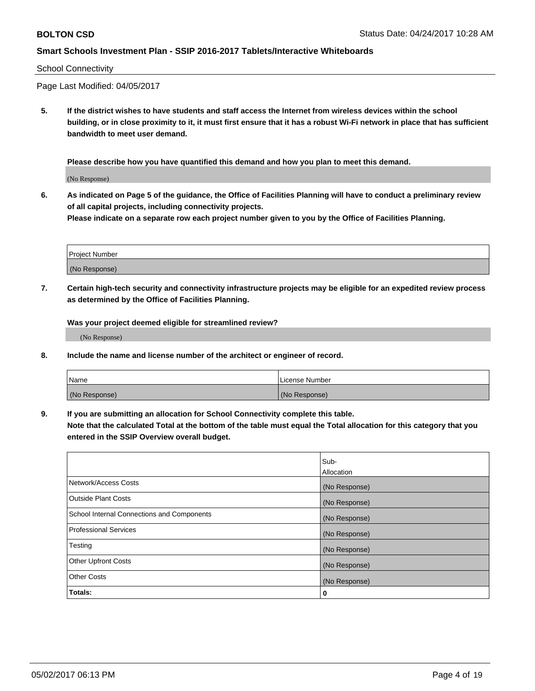#### School Connectivity

Page Last Modified: 04/05/2017

**5. If the district wishes to have students and staff access the Internet from wireless devices within the school building, or in close proximity to it, it must first ensure that it has a robust Wi-Fi network in place that has sufficient bandwidth to meet user demand.**

**Please describe how you have quantified this demand and how you plan to meet this demand.**

(No Response)

**6. As indicated on Page 5 of the guidance, the Office of Facilities Planning will have to conduct a preliminary review of all capital projects, including connectivity projects.**

**Please indicate on a separate row each project number given to you by the Office of Facilities Planning.**

| Project Number |  |
|----------------|--|
| (No Response)  |  |

**7. Certain high-tech security and connectivity infrastructure projects may be eligible for an expedited review process as determined by the Office of Facilities Planning.**

**Was your project deemed eligible for streamlined review?**

(No Response)

**8. Include the name and license number of the architect or engineer of record.**

| Name          | License Number |
|---------------|----------------|
| (No Response) | (No Response)  |

**9. If you are submitting an allocation for School Connectivity complete this table.**

**Note that the calculated Total at the bottom of the table must equal the Total allocation for this category that you entered in the SSIP Overview overall budget.** 

|                                            | Sub-          |
|--------------------------------------------|---------------|
|                                            | Allocation    |
| Network/Access Costs                       | (No Response) |
| Outside Plant Costs                        | (No Response) |
| School Internal Connections and Components | (No Response) |
| <b>Professional Services</b>               | (No Response) |
| Testing                                    | (No Response) |
| <b>Other Upfront Costs</b>                 | (No Response) |
| <b>Other Costs</b>                         | (No Response) |
| Totals:                                    | 0             |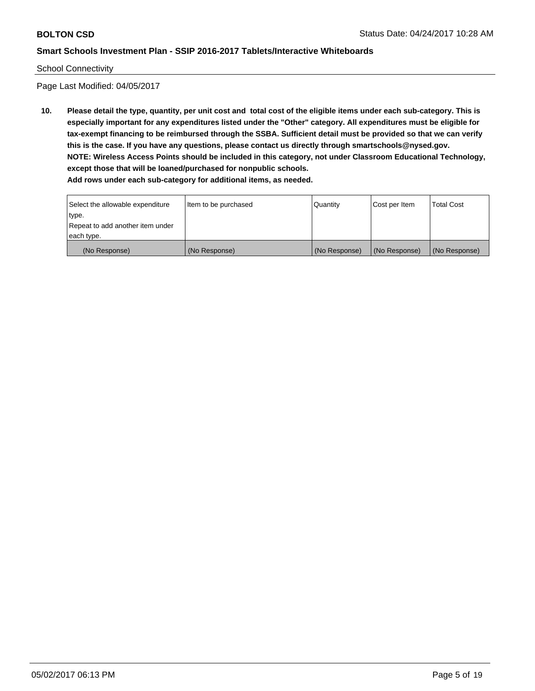### School Connectivity

Page Last Modified: 04/05/2017

**10. Please detail the type, quantity, per unit cost and total cost of the eligible items under each sub-category. This is especially important for any expenditures listed under the "Other" category. All expenditures must be eligible for tax-exempt financing to be reimbursed through the SSBA. Sufficient detail must be provided so that we can verify this is the case. If you have any questions, please contact us directly through smartschools@nysed.gov. NOTE: Wireless Access Points should be included in this category, not under Classroom Educational Technology, except those that will be loaned/purchased for nonpublic schools.**

| Select the allowable expenditure | Item to be purchased | Quantity      | Cost per Item | <b>Total Cost</b> |
|----------------------------------|----------------------|---------------|---------------|-------------------|
| type.                            |                      |               |               |                   |
| Repeat to add another item under |                      |               |               |                   |
| each type.                       |                      |               |               |                   |
| (No Response)                    | (No Response)        | (No Response) | (No Response) | (No Response)     |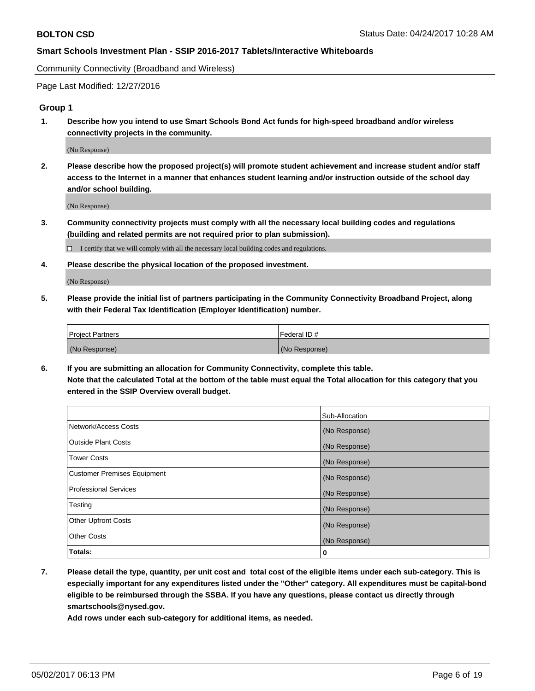Community Connectivity (Broadband and Wireless)

Page Last Modified: 12/27/2016

## **Group 1**

**1. Describe how you intend to use Smart Schools Bond Act funds for high-speed broadband and/or wireless connectivity projects in the community.**

(No Response)

**2. Please describe how the proposed project(s) will promote student achievement and increase student and/or staff access to the Internet in a manner that enhances student learning and/or instruction outside of the school day and/or school building.**

(No Response)

**3. Community connectivity projects must comply with all the necessary local building codes and regulations (building and related permits are not required prior to plan submission).**

 $\Box$  I certify that we will comply with all the necessary local building codes and regulations.

**4. Please describe the physical location of the proposed investment.**

(No Response)

**5. Please provide the initial list of partners participating in the Community Connectivity Broadband Project, along with their Federal Tax Identification (Employer Identification) number.**

| <b>Project Partners</b> | l Federal ID # |
|-------------------------|----------------|
| (No Response)           | (No Response)  |

**6. If you are submitting an allocation for Community Connectivity, complete this table. Note that the calculated Total at the bottom of the table must equal the Total allocation for this category that you entered in the SSIP Overview overall budget.**

|                                    | Sub-Allocation |
|------------------------------------|----------------|
| Network/Access Costs               | (No Response)  |
| Outside Plant Costs                | (No Response)  |
| <b>Tower Costs</b>                 | (No Response)  |
| <b>Customer Premises Equipment</b> | (No Response)  |
| <b>Professional Services</b>       | (No Response)  |
| Testing                            | (No Response)  |
| <b>Other Upfront Costs</b>         | (No Response)  |
| <b>Other Costs</b>                 | (No Response)  |
| Totals:                            | 0              |

**7. Please detail the type, quantity, per unit cost and total cost of the eligible items under each sub-category. This is especially important for any expenditures listed under the "Other" category. All expenditures must be capital-bond eligible to be reimbursed through the SSBA. If you have any questions, please contact us directly through smartschools@nysed.gov.**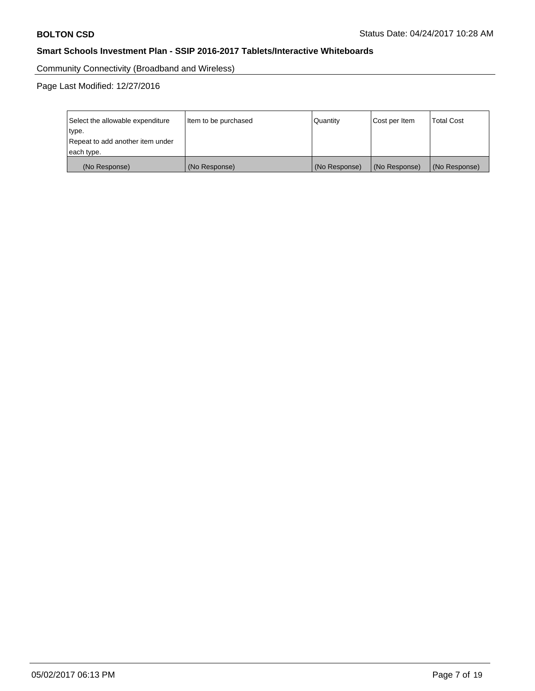Community Connectivity (Broadband and Wireless)

Page Last Modified: 12/27/2016

| Select the allowable expenditure<br>type.<br>Repeat to add another item under | Item to be purchased | Quantity      | Cost per Item | <b>Total Cost</b> |
|-------------------------------------------------------------------------------|----------------------|---------------|---------------|-------------------|
| each type.                                                                    |                      |               |               |                   |
| (No Response)                                                                 | (No Response)        | (No Response) | (No Response) | (No Response)     |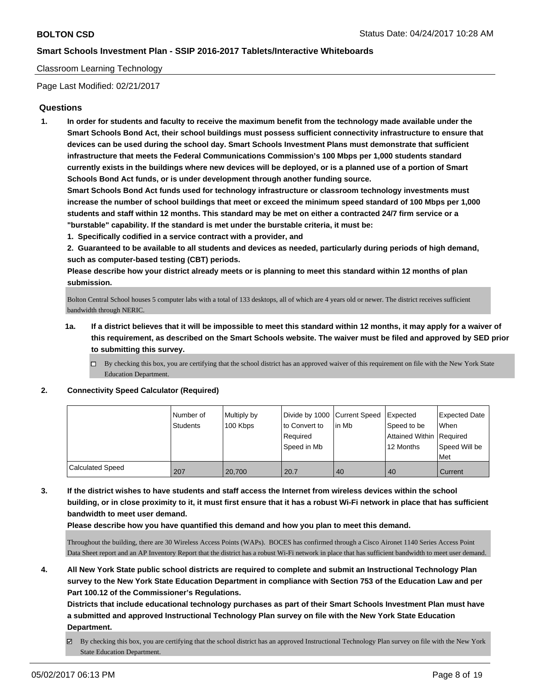### Classroom Learning Technology

Page Last Modified: 02/21/2017

### **Questions**

**1. In order for students and faculty to receive the maximum benefit from the technology made available under the Smart Schools Bond Act, their school buildings must possess sufficient connectivity infrastructure to ensure that devices can be used during the school day. Smart Schools Investment Plans must demonstrate that sufficient infrastructure that meets the Federal Communications Commission's 100 Mbps per 1,000 students standard currently exists in the buildings where new devices will be deployed, or is a planned use of a portion of Smart Schools Bond Act funds, or is under development through another funding source.**

**Smart Schools Bond Act funds used for technology infrastructure or classroom technology investments must increase the number of school buildings that meet or exceed the minimum speed standard of 100 Mbps per 1,000 students and staff within 12 months. This standard may be met on either a contracted 24/7 firm service or a "burstable" capability. If the standard is met under the burstable criteria, it must be:**

**1. Specifically codified in a service contract with a provider, and**

**2. Guaranteed to be available to all students and devices as needed, particularly during periods of high demand, such as computer-based testing (CBT) periods.**

**Please describe how your district already meets or is planning to meet this standard within 12 months of plan submission.**

Bolton Central School houses 5 computer labs with a total of 133 desktops, all of which are 4 years old or newer. The district receives sufficient bandwidth through NERIC.

- **1a. If a district believes that it will be impossible to meet this standard within 12 months, it may apply for a waiver of this requirement, as described on the Smart Schools website. The waiver must be filed and approved by SED prior to submitting this survey.**
	- $\Box$  By checking this box, you are certifying that the school district has an approved waiver of this requirement on file with the New York State Education Department.

#### **2. Connectivity Speed Calculator (Required)**

|                         | Number of       | Multiply by | Divide by 1000 Current Speed |         | <b>Expected</b>          | Expected Date |
|-------------------------|-----------------|-------------|------------------------------|---------|--------------------------|---------------|
|                         | <b>Students</b> | 100 Kbps    | to Convert to                | l in Mb | Speed to be              | When          |
|                         |                 |             | Required                     |         | Attained Within Required |               |
|                         |                 |             | Speed in Mb                  |         | 12 Months                | Speed Will be |
|                         |                 |             |                              |         |                          | <b>Met</b>    |
| <b>Calculated Speed</b> | 207             | 20.700      | 20.7                         | 40      | 40                       | Current       |

**3. If the district wishes to have students and staff access the Internet from wireless devices within the school building, or in close proximity to it, it must first ensure that it has a robust Wi-Fi network in place that has sufficient bandwidth to meet user demand.**

**Please describe how you have quantified this demand and how you plan to meet this demand.**

Throughout the building, there are 30 Wireless Access Points (WAPs). BOCES has confirmed through a Cisco Aironet 1140 Series Access Point Data Sheet report and an AP Inventory Report that the district has a robust Wi-Fi network in place that has sufficient bandwidth to meet user demand.

**4. All New York State public school districts are required to complete and submit an Instructional Technology Plan survey to the New York State Education Department in compliance with Section 753 of the Education Law and per Part 100.12 of the Commissioner's Regulations.**

**Districts that include educational technology purchases as part of their Smart Schools Investment Plan must have a submitted and approved Instructional Technology Plan survey on file with the New York State Education Department.**

By checking this box, you are certifying that the school district has an approved Instructional Technology Plan survey on file with the New York State Education Department.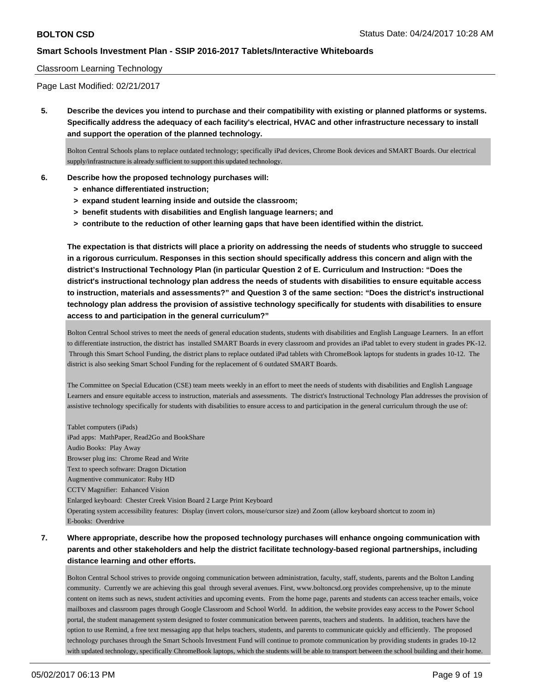### Classroom Learning Technology

Page Last Modified: 02/21/2017

**5. Describe the devices you intend to purchase and their compatibility with existing or planned platforms or systems. Specifically address the adequacy of each facility's electrical, HVAC and other infrastructure necessary to install and support the operation of the planned technology.**

Bolton Central Schools plans to replace outdated technology; specifically iPad devices, Chrome Book devices and SMART Boards. Our electrical supply/infrastructure is already sufficient to support this updated technology.

- **6. Describe how the proposed technology purchases will:**
	- **> enhance differentiated instruction;**
	- **> expand student learning inside and outside the classroom;**
	- **> benefit students with disabilities and English language learners; and**
	- **> contribute to the reduction of other learning gaps that have been identified within the district.**

**The expectation is that districts will place a priority on addressing the needs of students who struggle to succeed in a rigorous curriculum. Responses in this section should specifically address this concern and align with the district's Instructional Technology Plan (in particular Question 2 of E. Curriculum and Instruction: "Does the district's instructional technology plan address the needs of students with disabilities to ensure equitable access to instruction, materials and assessments?" and Question 3 of the same section: "Does the district's instructional technology plan address the provision of assistive technology specifically for students with disabilities to ensure access to and participation in the general curriculum?"**

Bolton Central School strives to meet the needs of general education students, students with disabilities and English Language Learners. In an effort to differentiate instruction, the district has installed SMART Boards in every classroom and provides an iPad tablet to every student in grades PK-12. Through this Smart School Funding, the district plans to replace outdated iPad tablets with ChromeBook laptops for students in grades 10-12. The district is also seeking Smart School Funding for the replacement of 6 outdated SMART Boards.

The Committee on Special Education (CSE) team meets weekly in an effort to meet the needs of students with disabilities and English Language Learners and ensure equitable access to instruction, materials and assessments. The district's Instructional Technology Plan addresses the provision of assistive technology specifically for students with disabilities to ensure access to and participation in the general curriculum through the use of:

Tablet computers (iPads) iPad apps: MathPaper, Read2Go and BookShare Audio Books: Play Away Browser plug ins: Chrome Read and Write Text to speech software: Dragon Dictation Augmentive communicator: Ruby HD CCTV Magnifier: Enhanced Vision Enlarged keyboard: Chester Creek Vision Board 2 Large Print Keyboard Operating system accessibility features: Display (invert colors, mouse/cursor size) and Zoom (allow keyboard shortcut to zoom in) E-books: Overdrive

# **7. Where appropriate, describe how the proposed technology purchases will enhance ongoing communication with parents and other stakeholders and help the district facilitate technology-based regional partnerships, including distance learning and other efforts.**

Bolton Central School strives to provide ongoing communication between administration, faculty, staff, students, parents and the Bolton Landing community. Currently we are achieving this goal through several avenues. First, www.boltoncsd.org provides comprehensive, up to the minute content on items such as news, student activities and upcoming events. From the home page, parents and students can access teacher emails, voice mailboxes and classroom pages through Google Classroom and School World. In addition, the website provides easy access to the Power School portal, the student management system designed to foster communication between parents, teachers and students. In addition, teachers have the option to use Remind, a free text messaging app that helps teachers, students, and parents to communicate quickly and efficiently. The proposed technology purchases through the Smart Schools Investment Fund will continue to promote communication by providing students in grades 10-12 with updated technology, specifically ChromeBook laptops, which the students will be able to transport between the school building and their home.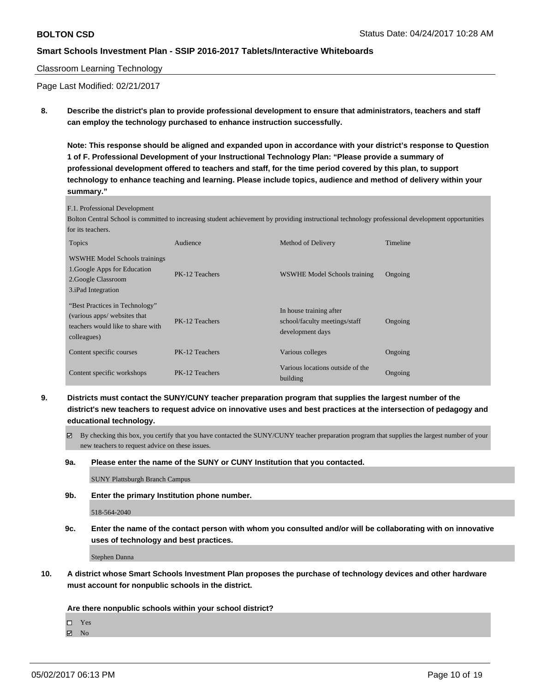#### Classroom Learning Technology

Page Last Modified: 02/21/2017

**8. Describe the district's plan to provide professional development to ensure that administrators, teachers and staff can employ the technology purchased to enhance instruction successfully.**

**Note: This response should be aligned and expanded upon in accordance with your district's response to Question 1 of F. Professional Development of your Instructional Technology Plan: "Please provide a summary of professional development offered to teachers and staff, for the time period covered by this plan, to support technology to enhance teaching and learning. Please include topics, audience and method of delivery within your summary."**

| F.1. Professional Development<br>Bolton Central School is committed to increasing student achievement by providing instructional technology professional development opportunities |                |                                                                              |          |  |  |
|------------------------------------------------------------------------------------------------------------------------------------------------------------------------------------|----------------|------------------------------------------------------------------------------|----------|--|--|
| for its teachers.                                                                                                                                                                  |                |                                                                              |          |  |  |
| Topics                                                                                                                                                                             | Audience       | Method of Delivery                                                           | Timeline |  |  |
| WSWHE Model Schools trainings<br>1. Google Apps for Education<br>2.Google Classroom<br>3. iPad Integration                                                                         | PK-12 Teachers | WSWHE Model Schools training                                                 | Ongoing  |  |  |
| "Best Practices in Technology"<br>(various apps/ websites that)<br>teachers would like to share with<br>colleagues)                                                                | PK-12 Teachers | In house training after<br>school/faculty meetings/staff<br>development days | Ongoing  |  |  |
| Content specific courses                                                                                                                                                           | PK-12 Teachers | Various colleges                                                             | Ongoing  |  |  |
| Content specific workshops                                                                                                                                                         | PK-12 Teachers | Various locations outside of the<br>building                                 | Ongoing  |  |  |

- **9. Districts must contact the SUNY/CUNY teacher preparation program that supplies the largest number of the district's new teachers to request advice on innovative uses and best practices at the intersection of pedagogy and educational technology.**
	- By checking this box, you certify that you have contacted the SUNY/CUNY teacher preparation program that supplies the largest number of your new teachers to request advice on these issues.
	- **9a. Please enter the name of the SUNY or CUNY Institution that you contacted.**

SUNY Plattsburgh Branch Campus

**9b. Enter the primary Institution phone number.**

518-564-2040

**9c. Enter the name of the contact person with whom you consulted and/or will be collaborating with on innovative uses of technology and best practices.**

Stephen Danna

**10. A district whose Smart Schools Investment Plan proposes the purchase of technology devices and other hardware must account for nonpublic schools in the district.**

**Are there nonpublic schools within your school district?**

□ Yes

 $\boxtimes$  No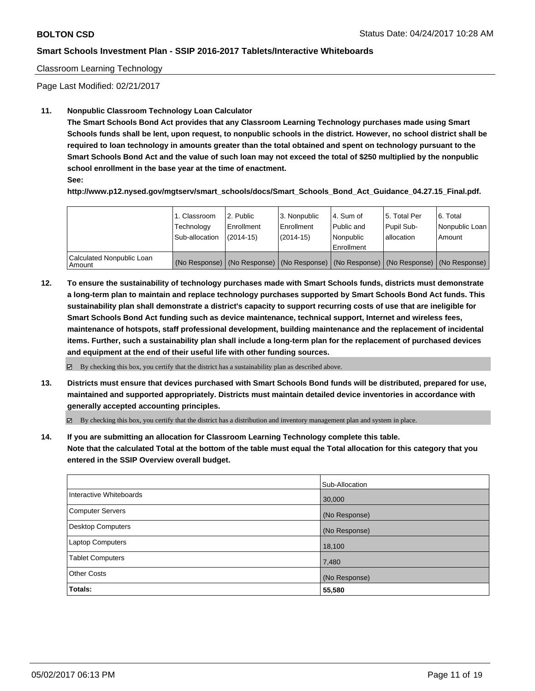### Classroom Learning Technology

Page Last Modified: 02/21/2017

### **11. Nonpublic Classroom Technology Loan Calculator**

**The Smart Schools Bond Act provides that any Classroom Learning Technology purchases made using Smart Schools funds shall be lent, upon request, to nonpublic schools in the district. However, no school district shall be required to loan technology in amounts greater than the total obtained and spent on technology pursuant to the Smart Schools Bond Act and the value of such loan may not exceed the total of \$250 multiplied by the nonpublic school enrollment in the base year at the time of enactment.**

**See:**

**http://www.p12.nysed.gov/mgtserv/smart\_schools/docs/Smart\_Schools\_Bond\_Act\_Guidance\_04.27.15\_Final.pdf.**

|                                       | 1. Classroom<br>Technology<br>Sub-allocation | 2. Public<br>l Enrollment<br>$(2014-15)$ | 3. Nonpublic<br>Enrollment<br>$(2014-15)$ | l 4. Sum of<br>Public and<br>l Nonpublic<br>l Enrollment | 15. Total Per<br>Pupil Sub-<br>lallocation | 6. Total<br>Nonpublic Loan  <br>Amount                                                        |
|---------------------------------------|----------------------------------------------|------------------------------------------|-------------------------------------------|----------------------------------------------------------|--------------------------------------------|-----------------------------------------------------------------------------------------------|
| Calculated Nonpublic Loan<br>l Amount |                                              |                                          |                                           |                                                          |                                            | (No Response)   (No Response)   (No Response)   (No Response)   (No Response)   (No Response) |

**12. To ensure the sustainability of technology purchases made with Smart Schools funds, districts must demonstrate a long-term plan to maintain and replace technology purchases supported by Smart Schools Bond Act funds. This sustainability plan shall demonstrate a district's capacity to support recurring costs of use that are ineligible for Smart Schools Bond Act funding such as device maintenance, technical support, Internet and wireless fees, maintenance of hotspots, staff professional development, building maintenance and the replacement of incidental items. Further, such a sustainability plan shall include a long-term plan for the replacement of purchased devices and equipment at the end of their useful life with other funding sources.**

 $\boxtimes$  By checking this box, you certify that the district has a sustainability plan as described above.

**13. Districts must ensure that devices purchased with Smart Schools Bond funds will be distributed, prepared for use, maintained and supported appropriately. Districts must maintain detailed device inventories in accordance with generally accepted accounting principles.**

By checking this box, you certify that the district has a distribution and inventory management plan and system in place.

**14. If you are submitting an allocation for Classroom Learning Technology complete this table. Note that the calculated Total at the bottom of the table must equal the Total allocation for this category that you entered in the SSIP Overview overall budget.**

|                         | Sub-Allocation |
|-------------------------|----------------|
| Interactive Whiteboards | 30,000         |
| Computer Servers        | (No Response)  |
| Desktop Computers       | (No Response)  |
| Laptop Computers        | 18,100         |
| <b>Tablet Computers</b> | 7,480          |
| <b>Other Costs</b>      | (No Response)  |
| Totals:                 | 55,580         |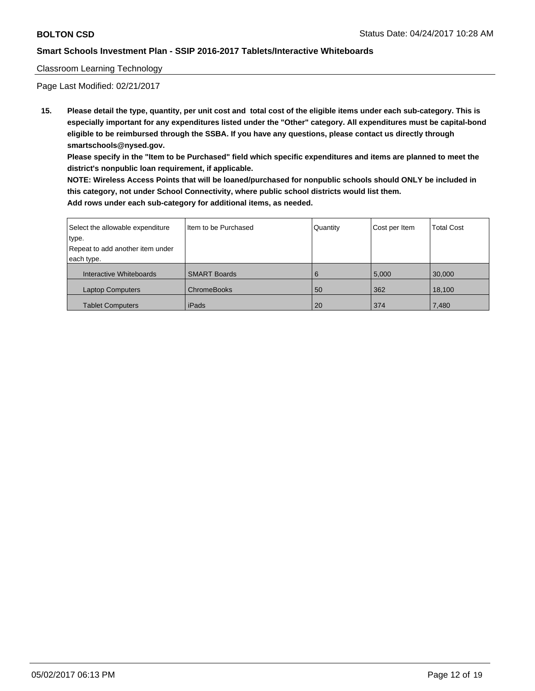### Classroom Learning Technology

Page Last Modified: 02/21/2017

**15. Please detail the type, quantity, per unit cost and total cost of the eligible items under each sub-category. This is especially important for any expenditures listed under the "Other" category. All expenditures must be capital-bond eligible to be reimbursed through the SSBA. If you have any questions, please contact us directly through smartschools@nysed.gov.**

**Please specify in the "Item to be Purchased" field which specific expenditures and items are planned to meet the district's nonpublic loan requirement, if applicable.**

**NOTE: Wireless Access Points that will be loaned/purchased for nonpublic schools should ONLY be included in this category, not under School Connectivity, where public school districts would list them. Add rows under each sub-category for additional items, as needed.**

| Select the allowable expenditure | I Item to be Purchased | Quantity | Cost per Item | <b>Total Cost</b> |
|----------------------------------|------------------------|----------|---------------|-------------------|
| type.                            |                        |          |               |                   |
| Repeat to add another item under |                        |          |               |                   |
| each type.                       |                        |          |               |                   |
| Interactive Whiteboards          | <b>SMART Boards</b>    | 6        | 5,000         | 30,000            |
| <b>Laptop Computers</b>          | <b>ChromeBooks</b>     | 50       | 362           | 18,100            |
| <b>Tablet Computers</b>          | iPads                  | 20       | 374           | 7,480             |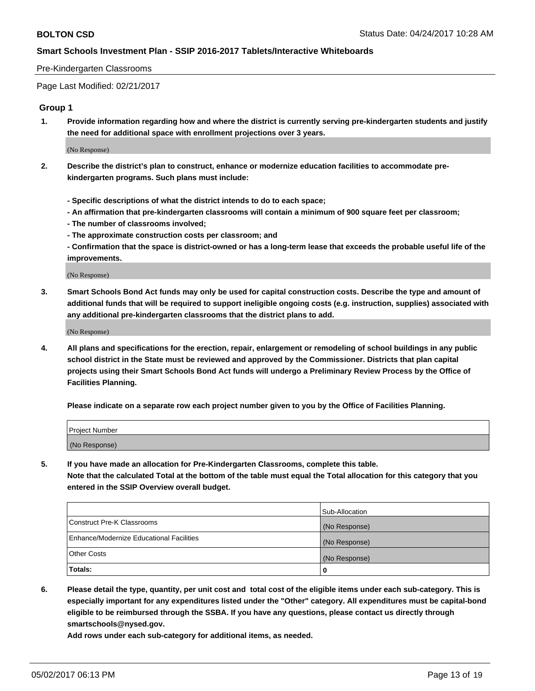#### Pre-Kindergarten Classrooms

Page Last Modified: 02/21/2017

### **Group 1**

**1. Provide information regarding how and where the district is currently serving pre-kindergarten students and justify the need for additional space with enrollment projections over 3 years.**

(No Response)

- **2. Describe the district's plan to construct, enhance or modernize education facilities to accommodate prekindergarten programs. Such plans must include:**
	- **Specific descriptions of what the district intends to do to each space;**
	- **An affirmation that pre-kindergarten classrooms will contain a minimum of 900 square feet per classroom;**
	- **The number of classrooms involved;**
	- **The approximate construction costs per classroom; and**
	- **Confirmation that the space is district-owned or has a long-term lease that exceeds the probable useful life of the improvements.**

(No Response)

**3. Smart Schools Bond Act funds may only be used for capital construction costs. Describe the type and amount of additional funds that will be required to support ineligible ongoing costs (e.g. instruction, supplies) associated with any additional pre-kindergarten classrooms that the district plans to add.**

(No Response)

**4. All plans and specifications for the erection, repair, enlargement or remodeling of school buildings in any public school district in the State must be reviewed and approved by the Commissioner. Districts that plan capital projects using their Smart Schools Bond Act funds will undergo a Preliminary Review Process by the Office of Facilities Planning.**

**Please indicate on a separate row each project number given to you by the Office of Facilities Planning.**

| Project Number |  |
|----------------|--|
| (No Response)  |  |

**5. If you have made an allocation for Pre-Kindergarten Classrooms, complete this table. Note that the calculated Total at the bottom of the table must equal the Total allocation for this category that you entered in the SSIP Overview overall budget.**

| Totals:                                  | 0              |
|------------------------------------------|----------------|
| Other Costs                              | (No Response)  |
| Enhance/Modernize Educational Facilities | (No Response)  |
| Construct Pre-K Classrooms               | (No Response)  |
|                                          | Sub-Allocation |

**6. Please detail the type, quantity, per unit cost and total cost of the eligible items under each sub-category. This is especially important for any expenditures listed under the "Other" category. All expenditures must be capital-bond eligible to be reimbursed through the SSBA. If you have any questions, please contact us directly through smartschools@nysed.gov.**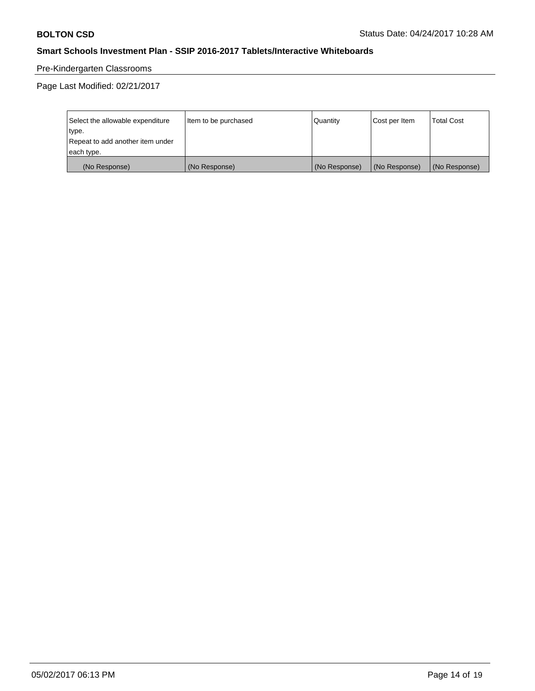# Pre-Kindergarten Classrooms

Page Last Modified: 02/21/2017

| Select the allowable expenditure | Item to be purchased | Quantity      | Cost per Item | <b>Total Cost</b> |
|----------------------------------|----------------------|---------------|---------------|-------------------|
| type.                            |                      |               |               |                   |
| Repeat to add another item under |                      |               |               |                   |
| each type.                       |                      |               |               |                   |
| (No Response)                    | (No Response)        | (No Response) | (No Response) | (No Response)     |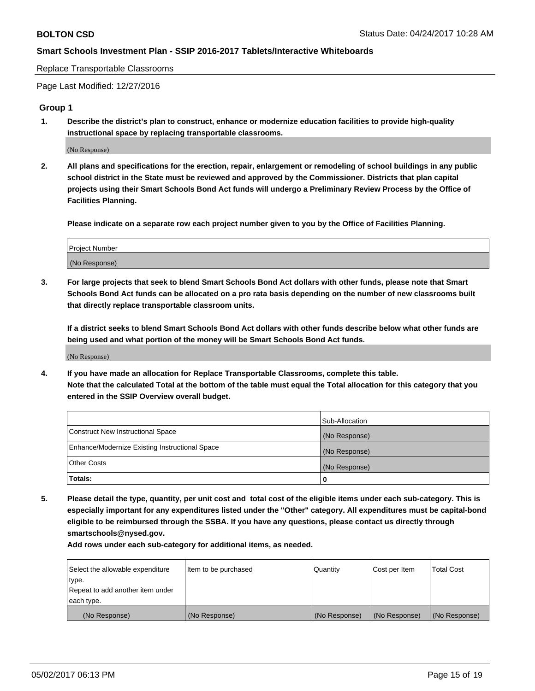#### Replace Transportable Classrooms

Page Last Modified: 12/27/2016

### **Group 1**

**1. Describe the district's plan to construct, enhance or modernize education facilities to provide high-quality instructional space by replacing transportable classrooms.**

(No Response)

**2. All plans and specifications for the erection, repair, enlargement or remodeling of school buildings in any public school district in the State must be reviewed and approved by the Commissioner. Districts that plan capital projects using their Smart Schools Bond Act funds will undergo a Preliminary Review Process by the Office of Facilities Planning.**

**Please indicate on a separate row each project number given to you by the Office of Facilities Planning.**

| Project Number |  |
|----------------|--|
| (No Response)  |  |

**3. For large projects that seek to blend Smart Schools Bond Act dollars with other funds, please note that Smart Schools Bond Act funds can be allocated on a pro rata basis depending on the number of new classrooms built that directly replace transportable classroom units.**

**If a district seeks to blend Smart Schools Bond Act dollars with other funds describe below what other funds are being used and what portion of the money will be Smart Schools Bond Act funds.**

(No Response)

**4. If you have made an allocation for Replace Transportable Classrooms, complete this table. Note that the calculated Total at the bottom of the table must equal the Total allocation for this category that you entered in the SSIP Overview overall budget.**

|                                                | Sub-Allocation |
|------------------------------------------------|----------------|
| Construct New Instructional Space              | (No Response)  |
| Enhance/Modernize Existing Instructional Space | (No Response)  |
| Other Costs                                    | (No Response)  |
| Totals:                                        | $\Omega$       |

**5. Please detail the type, quantity, per unit cost and total cost of the eligible items under each sub-category. This is especially important for any expenditures listed under the "Other" category. All expenditures must be capital-bond eligible to be reimbursed through the SSBA. If you have any questions, please contact us directly through smartschools@nysed.gov.**

| Select the allowable expenditure | Item to be purchased | Quantity      | Cost per Item | <b>Total Cost</b> |
|----------------------------------|----------------------|---------------|---------------|-------------------|
| type.                            |                      |               |               |                   |
| Repeat to add another item under |                      |               |               |                   |
| each type.                       |                      |               |               |                   |
| (No Response)                    | (No Response)        | (No Response) | (No Response) | (No Response)     |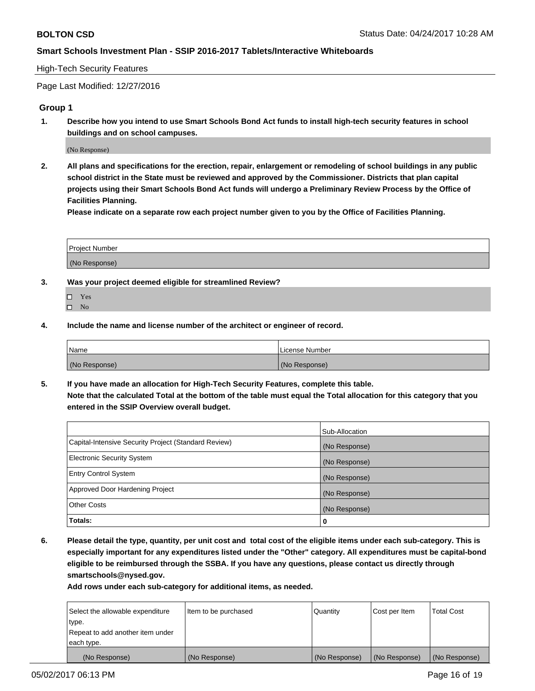### High-Tech Security Features

Page Last Modified: 12/27/2016

## **Group 1**

**1. Describe how you intend to use Smart Schools Bond Act funds to install high-tech security features in school buildings and on school campuses.**

(No Response)

**2. All plans and specifications for the erection, repair, enlargement or remodeling of school buildings in any public school district in the State must be reviewed and approved by the Commissioner. Districts that plan capital projects using their Smart Schools Bond Act funds will undergo a Preliminary Review Process by the Office of Facilities Planning.** 

**Please indicate on a separate row each project number given to you by the Office of Facilities Planning.**

| Project Number |  |
|----------------|--|
|                |  |
| (No Response)  |  |

- **3. Was your project deemed eligible for streamlined Review?**
	- Yes  $\hfill \square$  No
- **4. Include the name and license number of the architect or engineer of record.**

| Name          | l License Number |
|---------------|------------------|
| (No Response) | (No Response)    |

**5. If you have made an allocation for High-Tech Security Features, complete this table. Note that the calculated Total at the bottom of the table must equal the Total allocation for this category that you entered in the SSIP Overview overall budget.**

|                                                      | Sub-Allocation |
|------------------------------------------------------|----------------|
| Capital-Intensive Security Project (Standard Review) | (No Response)  |
| Electronic Security System                           | (No Response)  |
| <b>Entry Control System</b>                          | (No Response)  |
| Approved Door Hardening Project                      | (No Response)  |
| <b>Other Costs</b>                                   | (No Response)  |
| Totals:                                              | 0              |

**6. Please detail the type, quantity, per unit cost and total cost of the eligible items under each sub-category. This is especially important for any expenditures listed under the "Other" category. All expenditures must be capital-bond eligible to be reimbursed through the SSBA. If you have any questions, please contact us directly through smartschools@nysed.gov.**

| (No Response)                    | (No Response)        | (No Response) | (No Response) | (No Response)     |
|----------------------------------|----------------------|---------------|---------------|-------------------|
| each type.                       |                      |               |               |                   |
| Repeat to add another item under |                      |               |               |                   |
| type.                            |                      |               |               |                   |
| Select the allowable expenditure | Item to be purchased | Quantity      | Cost per Item | <b>Total Cost</b> |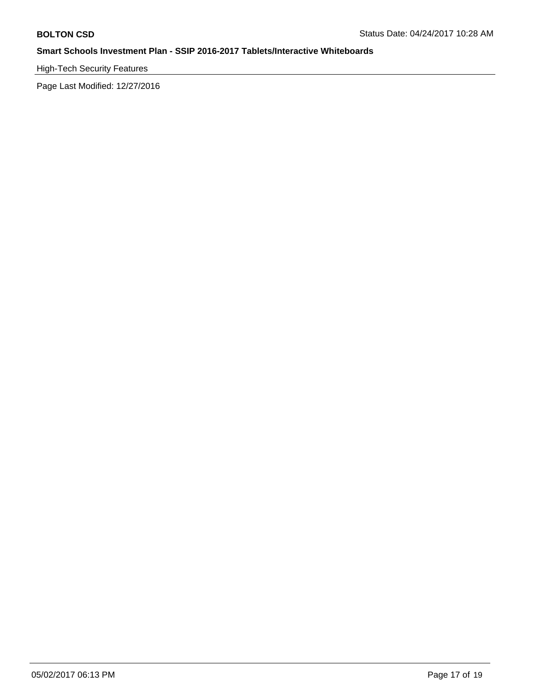# High-Tech Security Features

Page Last Modified: 12/27/2016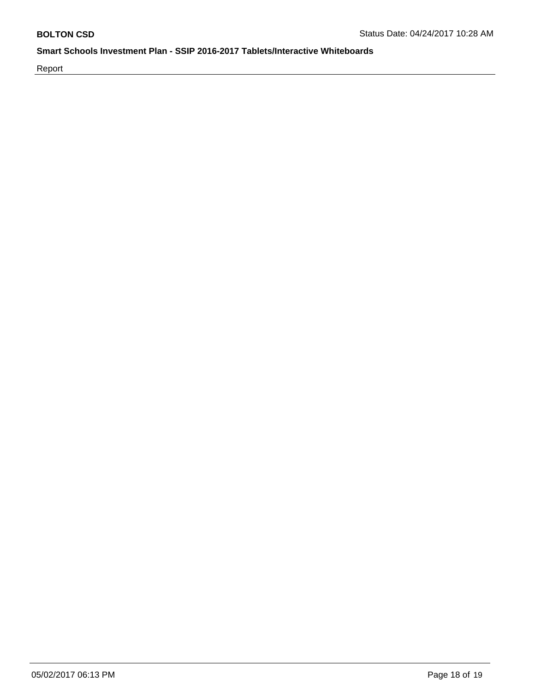Report